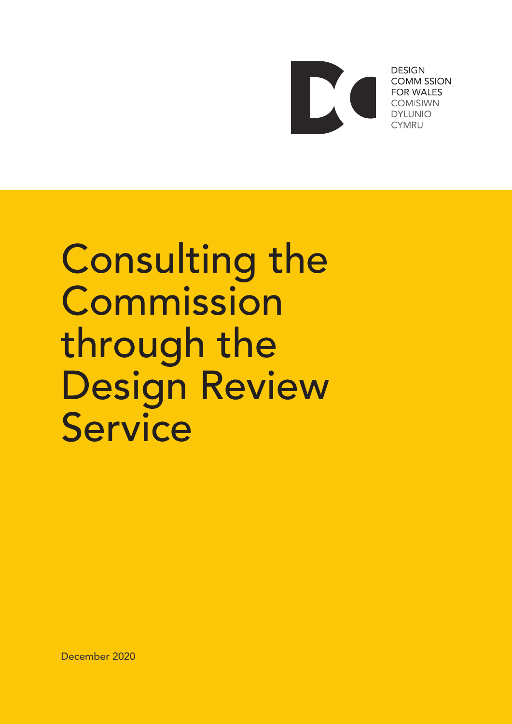

**DESIGN COMMISSION FOR WALES COMISIWN DYI UNIO CYMRU** 

# Consulting the Commission through the Design Review **Service**

December 2020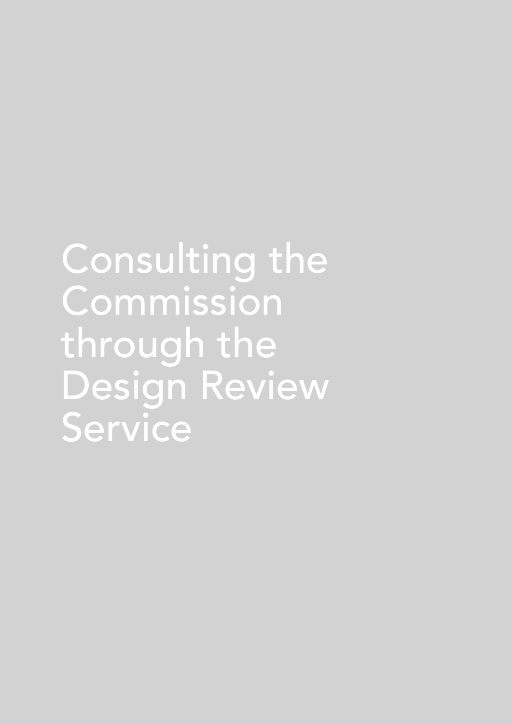Consulting the Commission through the Design Review Service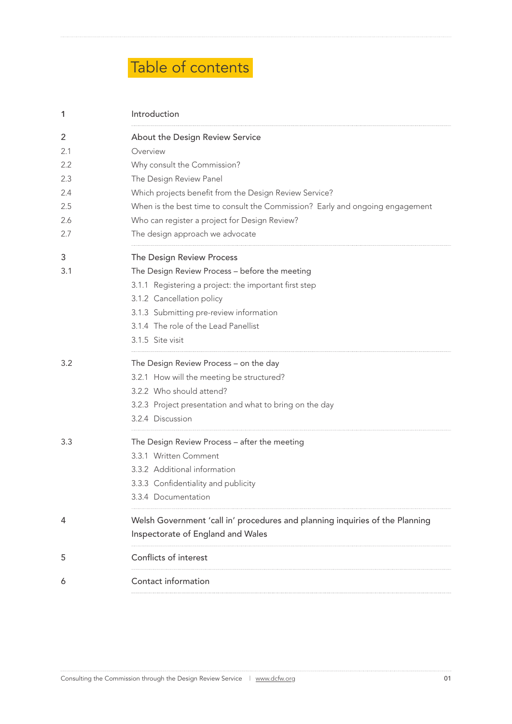# Table of contents

| $\mathbf{1}$ | Introduction                                                                  |  |
|--------------|-------------------------------------------------------------------------------|--|
| 2            | About the Design Review Service                                               |  |
| 2.1          | Overview                                                                      |  |
| 2.2          | Why consult the Commission?                                                   |  |
| 2.3          | The Design Review Panel                                                       |  |
| 2.4          | Which projects benefit from the Design Review Service?                        |  |
| 2.5          | When is the best time to consult the Commission? Early and ongoing engagement |  |
| 2.6          | Who can register a project for Design Review?                                 |  |
| 2.7          | The design approach we advocate                                               |  |
| 3            | The Design Review Process                                                     |  |
| 3.1          | The Design Review Process - before the meeting                                |  |
|              | 3.1.1 Registering a project: the important first step                         |  |
|              | 3.1.2 Cancellation policy                                                     |  |
|              | 3.1.3 Submitting pre-review information                                       |  |
|              | 3.1.4 The role of the Lead Panellist                                          |  |
|              | 3.1.5 Site visit                                                              |  |
| 3.2          | The Design Review Process - on the day                                        |  |
|              | 3.2.1 How will the meeting be structured?                                     |  |
|              | 3.2.2 Who should attend?                                                      |  |
|              | 3.2.3 Project presentation and what to bring on the day                       |  |
|              | 3.2.4 Discussion                                                              |  |
| 3.3          | The Design Review Process - after the meeting                                 |  |
|              | 3.3.1 Written Comment                                                         |  |
|              | 3.3.2 Additional information                                                  |  |
|              | 3.3.3 Confidentiality and publicity                                           |  |
|              | 3.3.4 Documentation                                                           |  |
| 4            | Welsh Government 'call in' procedures and planning inquiries of the Planning  |  |
|              | Inspectorate of England and Wales                                             |  |
| 5            | Conflicts of interest                                                         |  |
| 6            | Contact information                                                           |  |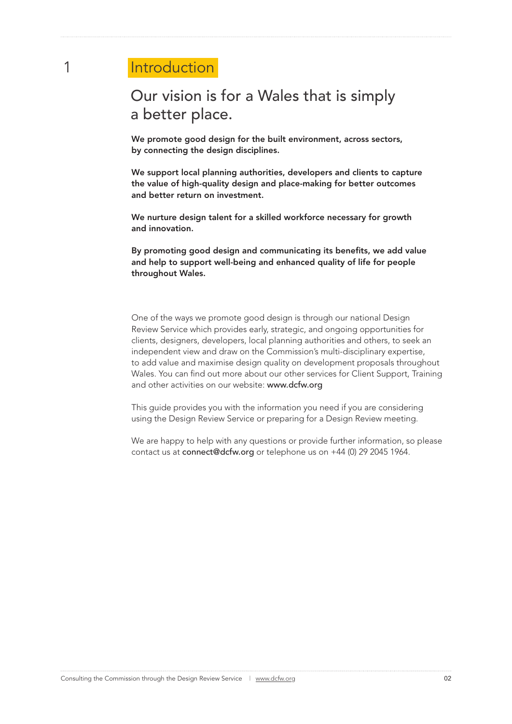# 1 Introduction

# Our vision is for a Wales that is simply a better place.

We promote good design for the built environment, across sectors, by connecting the design disciplines.

We support local planning authorities, developers and clients to capture the value of high-quality design and place-making for better outcomes and better return on investment.

We nurture design talent for a skilled workforce necessary for growth and innovation.

By promoting good design and communicating its benefits, we add value and help to support well-being and enhanced quality of life for people throughout Wales.

One of the ways we promote good design is through our national Design Review Service which provides early, strategic, and ongoing opportunities for clients, designers, developers, local planning authorities and others, to seek an independent view and draw on the Commission's multi-disciplinary expertise, to add value and maximise design quality on development proposals throughout Wales. You can find out more about our other services for Client Support, Training and other activities on our website: www.dcfw.org

This guide provides you with the information you need if you are considering using the Design Review Service or preparing for a Design Review meeting.

We are happy to help with any questions or provide further information, so please contact us at connect@dcfw.org or telephone us on +44 (0) 29 2045 1964.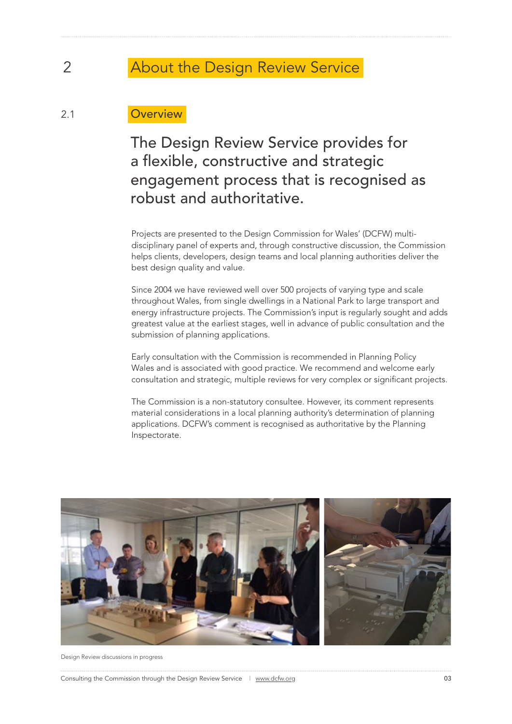# 2 About the Design Review Service

### 2.1 Overview

# The Design Review Service provides for a flexible, constructive and strategic engagement process that is recognised as robust and authoritative.

Projects are presented to the Design Commission for Wales' (DCFW) multidisciplinary panel of experts and, through constructive discussion, the Commission helps clients, developers, design teams and local planning authorities deliver the best design quality and value.

Since 2004 we have reviewed well over 500 projects of varying type and scale throughout Wales, from single dwellings in a National Park to large transport and energy infrastructure projects. The Commission's input is regularly sought and adds greatest value at the earliest stages, well in advance of public consultation and the submission of planning applications.

Early consultation with the Commission is recommended in Planning Policy Wales and is associated with good practice. We recommend and welcome early consultation and strategic, multiple reviews for very complex or significant projects.

The Commission is a non-statutory consultee. However, its comment represents material considerations in a local planning authority's determination of planning applications. DCFW's comment is recognised as authoritative by the Planning Inspectorate.



Design Review discussions in progress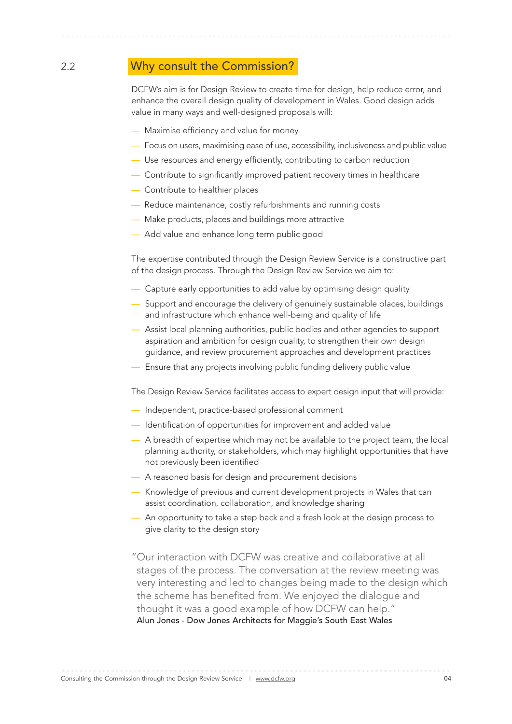### 2.2 Why consult the Commission?

DCFW's aim is for Design Review to create time for design, help reduce error, and enhance the overall design quality of development in Wales. Good design adds value in many ways and well-designed proposals will:

- Maximise efficiency and value for money
- Focus on users, maximising ease of use, accessibility, inclusiveness and public value
- Use resources and energy efficiently, contributing to carbon reduction
- Contribute to significantly improved patient recovery times in healthcare
- Contribute to healthier places
- Reduce maintenance, costly refurbishments and running costs
- Make products, places and buildings more attractive
- Add value and enhance long term public good

The expertise contributed through the Design Review Service is a constructive part of the design process. Through the Design Review Service we aim to:

- Capture early opportunities to add value by optimising design quality
- Support and encourage the delivery of genuinely sustainable places, buildings and infrastructure which enhance well-being and quality of life
- Assist local planning authorities, public bodies and other agencies to support aspiration and ambition for design quality, to strengthen their own design guidance, and review procurement approaches and development practices
- Ensure that any projects involving public funding delivery public value

The Design Review Service facilitates access to expert design input that will provide:

- Independent, practice-based professional comment
- Identification of opportunities for improvement and added value
- A breadth of expertise which may not be available to the project team, the local planning authority, or stakeholders, which may highlight opportunities that have not previously been identified
- A reasoned basis for design and procurement decisions
- Knowledge of previous and current development projects in Wales that can assist coordination, collaboration, and knowledge sharing
- An opportunity to take a step back and a fresh look at the design process to give clarity to the design story
- "Our interaction with DCFW was creative and collaborative at all stages of the process. The conversation at the review meeting was very interesting and led to changes being made to the design which the scheme has benefited from. We enjoyed the dialogue and thought it was a good example of how DCFW can help." Alun Jones - Dow Jones Architects for Maggie's South East Wales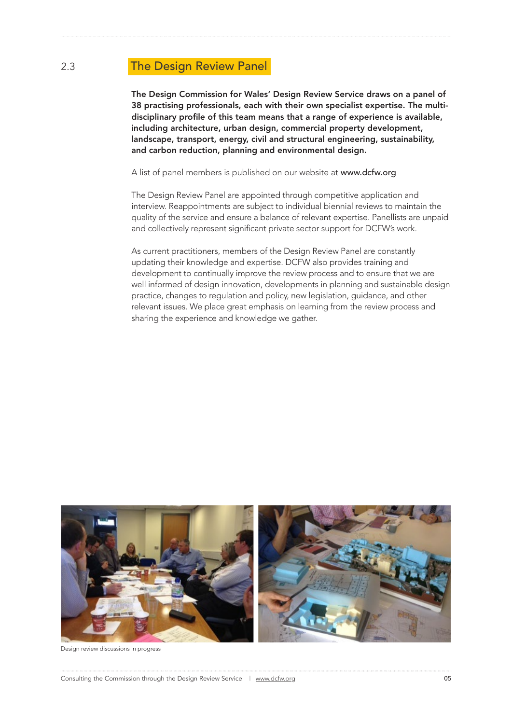### 2.3 The Design Review Panel

The Design Commission for Wales' Design Review Service draws on a panel of 38 practising professionals, each with their own specialist expertise. The multidisciplinary profile of this team means that a range of experience is available, including architecture, urban design, commercial property development, landscape, transport, energy, civil and structural engineering, sustainability, and carbon reduction, planning and environmental design.

A list of panel members is published on our website at www.dcfw.org

The Design Review Panel are appointed through competitive application and interview. Reappointments are subject to individual biennial reviews to maintain the quality of the service and ensure a balance of relevant expertise. Panellists are unpaid and collectively represent significant private sector support for DCFW's work.

As current practitioners, members of the Design Review Panel are constantly updating their knowledge and expertise. DCFW also provides training and development to continually improve the review process and to ensure that we are well informed of design innovation, developments in planning and sustainable design practice, changes to regulation and policy, new legislation, guidance, and other relevant issues. We place great emphasis on learning from the review process and sharing the experience and knowledge we gather.



Design review discussions in progress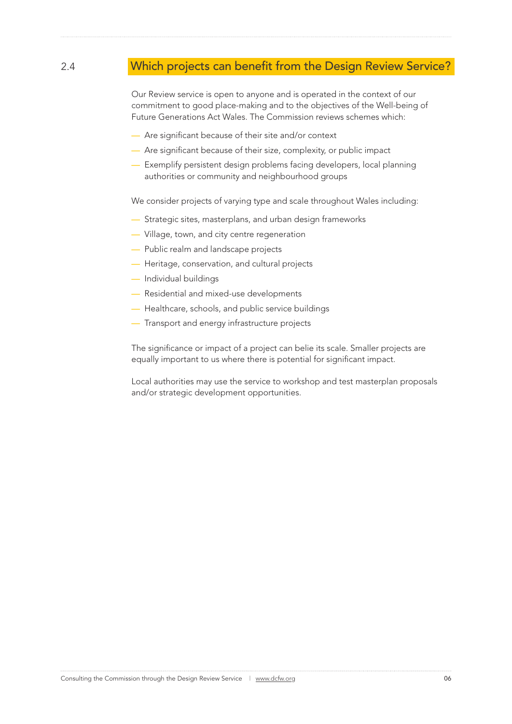## 2.4 Which projects can benefit from the Design Review Service?

Our Review service is open to anyone and is operated in the context of our commitment to good place-making and to the objectives of the Well-being of Future Generations Act Wales. The Commission reviews schemes which:

- Are significant because of their site and/or context
- Are significant because of their size, complexity, or public impact
- Exemplify persistent design problems facing developers, local planning authorities or community and neighbourhood groups

We consider projects of varying type and scale throughout Wales including:

- Strategic sites, masterplans, and urban design frameworks
- Village, town, and city centre regeneration
- Public realm and landscape projects
- Heritage, conservation, and cultural projects
- Individual buildings
- Residential and mixed-use developments
- Healthcare, schools, and public service buildings
- Transport and energy infrastructure projects

The significance or impact of a project can belie its scale. Smaller projects are equally important to us where there is potential for significant impact.

Local authorities may use the service to workshop and test masterplan proposals and/or strategic development opportunities.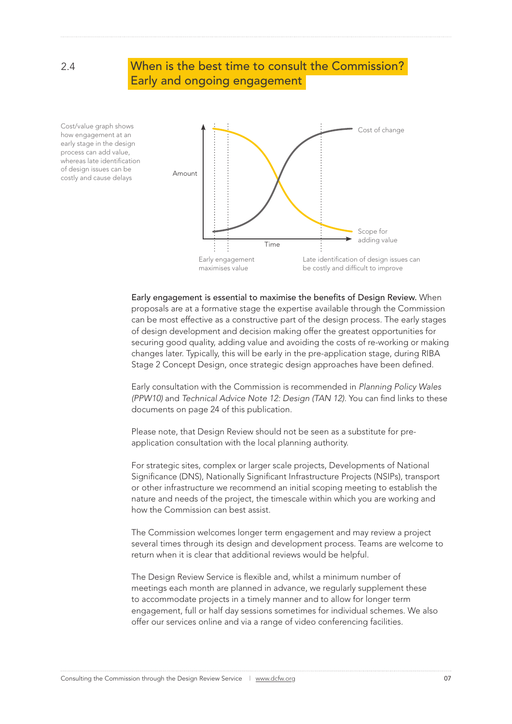### 2.4 When is the best time to consult the Commission? Early and ongoing engagement

Cost/value graph shows how engagement at an early stage in the design process can add value, whereas late identification of design issues can be or design issues can be<br>costly and cause delays **Amount** 



Early engagement is essential to maximise the benefits of Design Review. When proposals are at a formative stage the expertise available through the Commission can be most effective as a constructive part of the design process. The early stages of design development and decision making offer the greatest opportunities for securing good quality, adding value and avoiding the costs of re-working or making changes later. Typically, this will be early in the pre-application stage, during RIBA Stage 2 Concept Design, once strategic design approaches have been defined.

Early consultation with the Commission is recommended in *Planning Policy Wales (PPW10)* and *Technical Advice Note 12: Design (TAN 12)*. You can find links to these documents on page 24 of this publication.

Please note, that Design Review should not be seen as a substitute for preapplication consultation with the local planning authority.

For strategic sites, complex or larger scale projects, Developments of National Significance (DNS), Nationally Significant Infrastructure Projects (NSIPs), transport or other infrastructure we recommend an initial scoping meeting to establish the nature and needs of the project, the timescale within which you are working and how the Commission can best assist.

The Commission welcomes longer term engagement and may review a project several times through its design and development process. Teams are welcome to return when it is clear that additional reviews would be helpful.

The Design Review Service is flexible and, whilst a minimum number of meetings each month are planned in advance, we regularly supplement these to accommodate projects in a timely manner and to allow for longer term engagement, full or half day sessions sometimes for individual schemes. We also offer our services online and via a range of video conferencing facilities.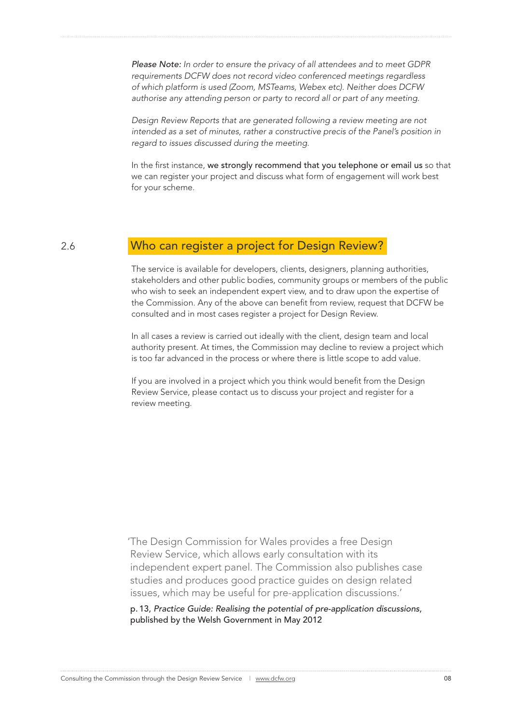*Please Note: In order to ensure the privacy of all attendees and to meet GDPR requirements DCFW does not record video conferenced meetings regardless of which platform is used (Zoom, MSTeams, Webex etc). Neither does DCFW authorise any attending person or party to record all or part of any meeting.*

*Design Review Reports that are generated following a review meeting are not intended as a set of minutes, rather a constructive precis of the Panel's position in regard to issues discussed during the meeting.*

In the first instance, we strongly recommend that you telephone or email us so that we can register your project and discuss what form of engagement will work best for your scheme.

### 2.6 Who can register a project for Design Review?

The service is available for developers, clients, designers, planning authorities, stakeholders and other public bodies, community groups or members of the public who wish to seek an independent expert view, and to draw upon the expertise of the Commission. Any of the above can benefit from review, request that DCFW be consulted and in most cases register a project for Design Review.

In all cases a review is carried out ideally with the client, design team and local authority present. At times, the Commission may decline to review a project which is too far advanced in the process or where there is little scope to add value.

If you are involved in a project which you think would benefit from the Design Review Service, please contact us to discuss your project and register for a review meeting.

'The Design Commission for Wales provides a free Design Review Service, which allows early consultation with its independent expert panel. The Commission also publishes case studies and produces good practice guides on design related issues, which may be useful for pre-application discussions.'

p. 13, *Practice Guide: Realising the potential of pre-application discussions*, published by the Welsh Government in May 2012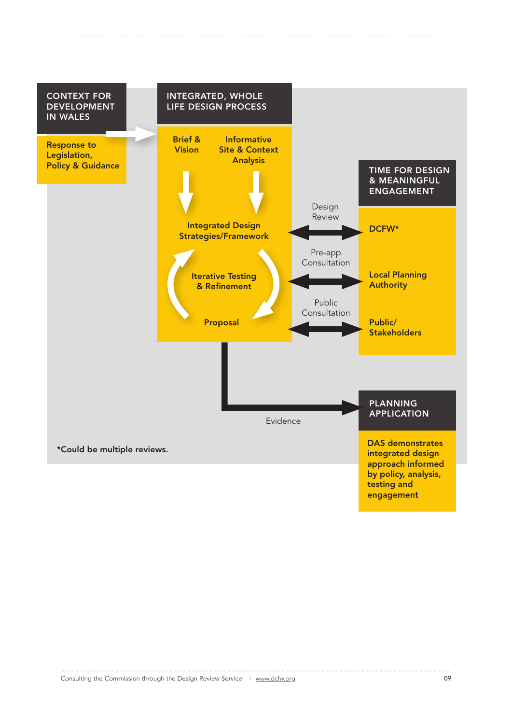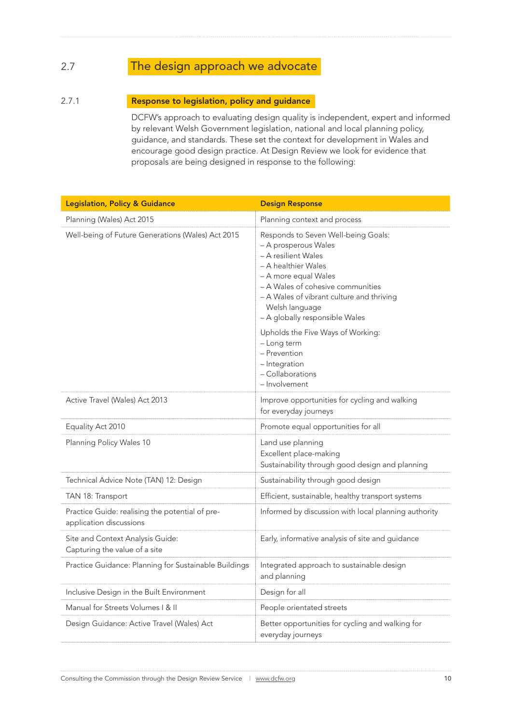# 2.7 The design approach we advocate

#### 2.7.1 **Response to legislation, policy and guidance**

DCFW's approach to evaluating design quality is independent, expert and informed by relevant Welsh Government legislation, national and local planning policy, guidance, and standards. These set the context for development in Wales and encourage good design practice. At Design Review we look for evidence that proposals are being designed in response to the following:

| <b>Legislation, Policy &amp; Guidance</b>                                  | <b>Design Response</b>                                                                                                                                                                                                                                                  |
|----------------------------------------------------------------------------|-------------------------------------------------------------------------------------------------------------------------------------------------------------------------------------------------------------------------------------------------------------------------|
| Planning (Wales) Act 2015                                                  | Planning context and process                                                                                                                                                                                                                                            |
| Well-being of Future Generations (Wales) Act 2015                          | Responds to Seven Well-being Goals:<br>- A prosperous Wales<br>- A resilient Wales<br>- A healthier Wales<br>- A more equal Wales<br>- A Wales of cohesive communities<br>- A Wales of vibrant culture and thriving<br>Welsh language<br>- A globally responsible Wales |
|                                                                            | Upholds the Five Ways of Working:<br>- Long term<br>- Prevention<br>- Integration<br>- Collaborations<br>- Involvement                                                                                                                                                  |
| Active Travel (Wales) Act 2013                                             | Improve opportunities for cycling and walking<br>for everyday journeys                                                                                                                                                                                                  |
| Equality Act 2010                                                          | Promote equal opportunities for all                                                                                                                                                                                                                                     |
| Planning Policy Wales 10                                                   | Land use planning<br>Excellent place-making<br>Sustainability through good design and planning                                                                                                                                                                          |
| Technical Advice Note (TAN) 12: Design                                     | Sustainability through good design                                                                                                                                                                                                                                      |
| TAN 18: Transport                                                          | Efficient, sustainable, healthy transport systems                                                                                                                                                                                                                       |
| Practice Guide: realising the potential of pre-<br>application discussions | Informed by discussion with local planning authority                                                                                                                                                                                                                    |
| Site and Context Analysis Guide:<br>Capturing the value of a site          | Early, informative analysis of site and guidance                                                                                                                                                                                                                        |
| Practice Guidance: Planning for Sustainable Buildings                      | Integrated approach to sustainable design<br>and planning                                                                                                                                                                                                               |
| Inclusive Design in the Built Environment                                  | Design for all                                                                                                                                                                                                                                                          |
| Manual for Streets Volumes   & II                                          | People orientated streets                                                                                                                                                                                                                                               |
| Design Guidance: Active Travel (Wales) Act                                 | Better opportunities for cycling and walking for<br>everyday journeys                                                                                                                                                                                                   |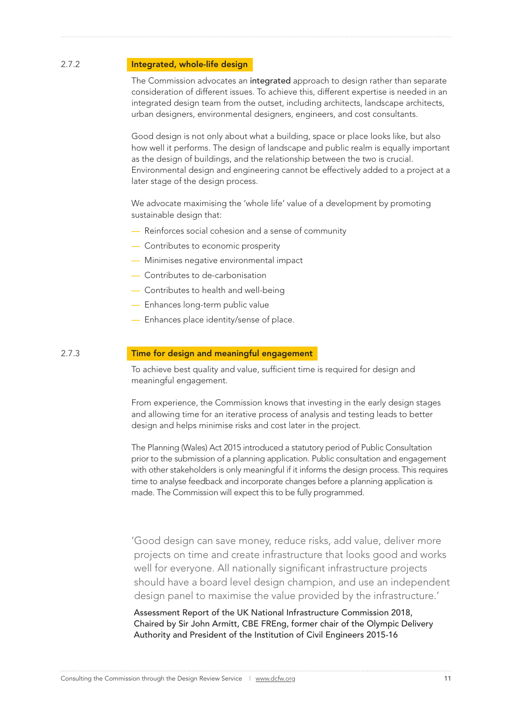#### 2.7.2 **Integrated, whole-life design**

The Commission advocates an integrated approach to design rather than separate consideration of different issues. To achieve this, different expertise is needed in an integrated design team from the outset, including architects, landscape architects, urban designers, environmental designers, engineers, and cost consultants.

Good design is not only about what a building, space or place looks like, but also how well it performs. The design of landscape and public realm is equally important as the design of buildings, and the relationship between the two is crucial. Environmental design and engineering cannot be effectively added to a project at a later stage of the design process.

We advocate maximising the 'whole life' value of a development by promoting sustainable design that:

- Reinforces social cohesion and a sense of community
- Contributes to economic prosperity
- Minimises negative environmental impact
- Contributes to de-carbonisation
- Contributes to health and well-being
- Enhances long-term public value
- Enhances place identity/sense of place*.*

#### 2.7.3 Time for design and meaningful engagement

To achieve best quality and value, sufficient time is required for design and meaningful engagement.

From experience, the Commission knows that investing in the early design stages and allowing time for an iterative process of analysis and testing leads to better design and helps minimise risks and cost later in the project.

The Planning (Wales) Act 2015 introduced a statutory period of Public Consultation prior to the submission of a planning application. Public consultation and engagement with other stakeholders is only meaningful if it informs the design process. This requires time to analyse feedback and incorporate changes before a planning application is made. The Commission will expect this to be fully programmed.

'Good design can save money, reduce risks, add value, deliver more projects on time and create infrastructure that looks good and works well for everyone. All nationally significant infrastructure projects should have a board level design champion, and use an independent design panel to maximise the value provided by the infrastructure.'

Assessment Report of the UK National Infrastructure Commission 2018, Chaired by Sir John Armitt, CBE FREng, former chair of the Olympic Delivery Authority and President of the Institution of Civil Engineers 2015-16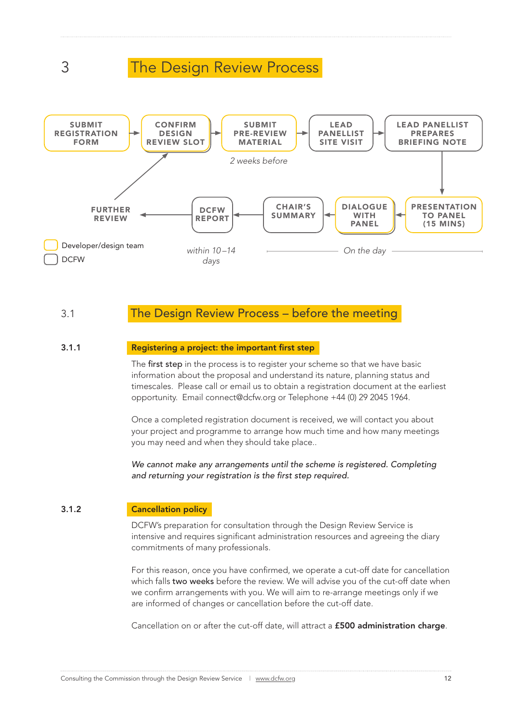# 3 The Design Review Process



### 3.1 The Design Review Process – before the meeting

#### 3.1.1 Registering a project: the important first step

The first step in the process is to register your scheme so that we have basic information about the proposal and understand its nature, planning status and timescales. Please call or email us to obtain a registration document at the earliest opportunity. Email connect@dcfw.org or Telephone +44 (0) 29 2045 1964.

Once a completed registration document is received, we will contact you about your project and programme to arrange how much time and how many meetings you may need and when they should take place..

We cannot make any arrangements until the scheme is registered. Completing *and returning your registration is the first step required.*

#### 3.1.2 Cancellation policy

DCFW's preparation for consultation through the Design Review Service is intensive and requires significant administration resources and agreeing the diary commitments of many professionals.

For this reason, once you have confirmed, we operate a cut-off date for cancellation which falls two weeks before the review. We will advise you of the cut-off date when we confirm arrangements with you. We will aim to re-arrange meetings only if we are informed of changes or cancellation before the cut-off date.

Cancellation on or after the cut-off date, will attract a £500 administration charge.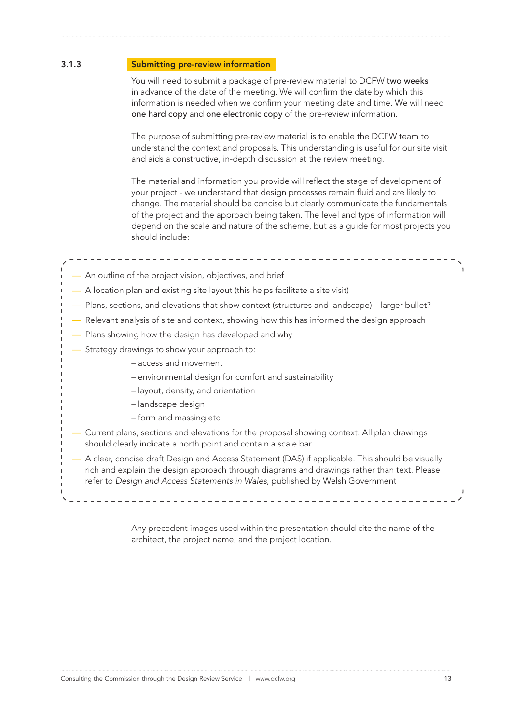#### 3.1.3 Submitting pre-review information

You will need to submit a package of pre-review material to DCFW two weeks in advance of the date of the meeting. We will confirm the date by which this information is needed when we confirm your meeting date and time. We will need one hard copy and one electronic copy of the pre-review information.

The purpose of submitting pre-review material is to enable the DCFW team to understand the context and proposals. This understanding is useful for our site visit and aids a constructive, in-depth discussion at the review meeting.

The material and information you provide will reflect the stage of development of your project - we understand that design processes remain fluid and are likely to change. The material should be concise but clearly communicate the fundamentals of the project and the approach being taken. The level and type of information will depend on the scale and nature of the scheme, but as a guide for most projects you should include:

#### — An outline of the project vision, objectives, and brief

- A location plan and existing site layout (this helps facilitate a site visit)
- Plans, sections, and elevations that show context (structures and landscape) larger bullet?
- Relevant analysis of site and context, showing how this has informed the design approach
- Plans showing how the design has developed and why
- Strategy drawings to show your approach to:
	- access and movement
	- environmental design for comfort and sustainability
	- layout, density, and orientation
	- landscape design
	- form and massing etc.
- Current plans, sections and elevations for the proposal showing context. All plan drawings should clearly indicate a north point and contain a scale bar.

 — A clear, concise draft Design and Access Statement (DAS) if applicable. This should be visually rich and explain the design approach through diagrams and drawings rather than text. Please refer to *Design and Access Statements in Wales*, published by Welsh Government

> Any precedent images used within the presentation should cite the name of the architect, the project name, and the project location.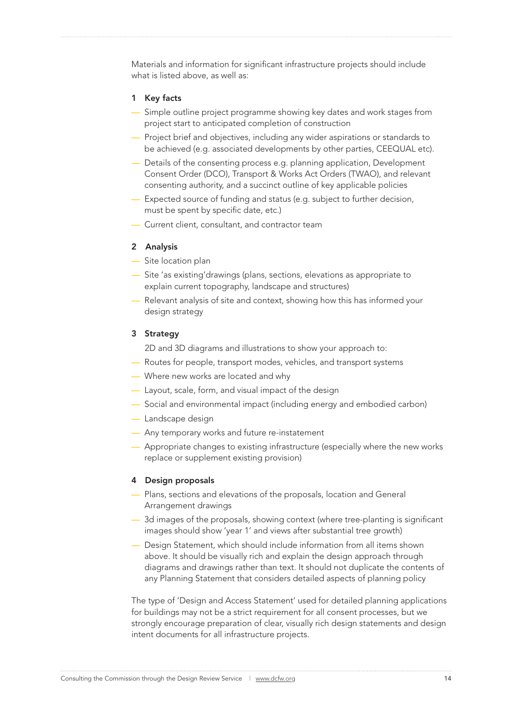Materials and information for significant infrastructure projects should include what is listed above, as well as:

#### 1 Key facts

- Simple outline project programme showing key dates and work stages from project start to anticipated completion of construction
- Project brief and objectives, including any wider aspirations or standards to be achieved (e.g. associated developments by other parties, CEEQUAL etc).
- Details of the consenting process e.g. planning application, Development Consent Order (DCO), Transport & Works Act Orders (TWAO), and relevant consenting authority, and a succinct outline of key applicable policies
- Expected source of funding and status (e.g. subject to further decision, must be spent by specific date, etc.)
- Current client, consultant, and contractor team

#### 2 Analysis

- Site location plan
- Site 'as existing'drawings (plans, sections, elevations as appropriate to explain current topography, landscape and structures)
- Relevant analysis of site and context, showing how this has informed your design strategy

#### 3 Strategy

2D and 3D diagrams and illustrations to show your approach to:

- Routes for people, transport modes, vehicles, and transport systems
- Where new works are located and why
- Layout, scale, form, and visual impact of the design
- Social and environmental impact (including energy and embodied carbon)
- Landscape design
- Any temporary works and future re-instatement
- Appropriate changes to existing infrastructure (especially where the new works replace or supplement existing provision)

#### 4 Design proposals

- Plans, sections and elevations of the proposals, location and General Arrangement drawings
- 3d images of the proposals, showing context (where tree-planting is significant images should show 'year 1' and views after substantial tree growth)
- Design Statement, which should include information from all items shown above. It should be visually rich and explain the design approach through diagrams and drawings rather than text. It should not duplicate the contents of any Planning Statement that considers detailed aspects of planning policy

The type of 'Design and Access Statement' used for detailed planning applications for buildings may not be a strict requirement for all consent processes, but we strongly encourage preparation of clear, visually rich design statements and design intent documents for all infrastructure projects.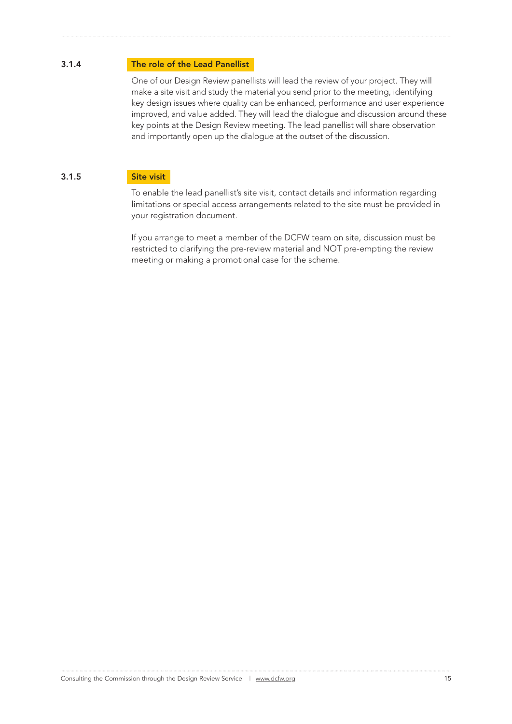#### 3.1.4 The role of the Lead Panellist

One of our Design Review panellists will lead the review of your project. They will make a site visit and study the material you send prior to the meeting, identifying key design issues where quality can be enhanced, performance and user experience improved, and value added. They will lead the dialogue and discussion around these key points at the Design Review meeting. The lead panellist will share observation and importantly open up the dialogue at the outset of the discussion.

#### 3.1.5 Site visit

To enable the lead panellist's site visit, contact details and information regarding limitations or special access arrangements related to the site must be provided in your registration document.

If you arrange to meet a member of the DCFW team on site, discussion must be restricted to clarifying the pre-review material and NOT pre-empting the review meeting or making a promotional case for the scheme.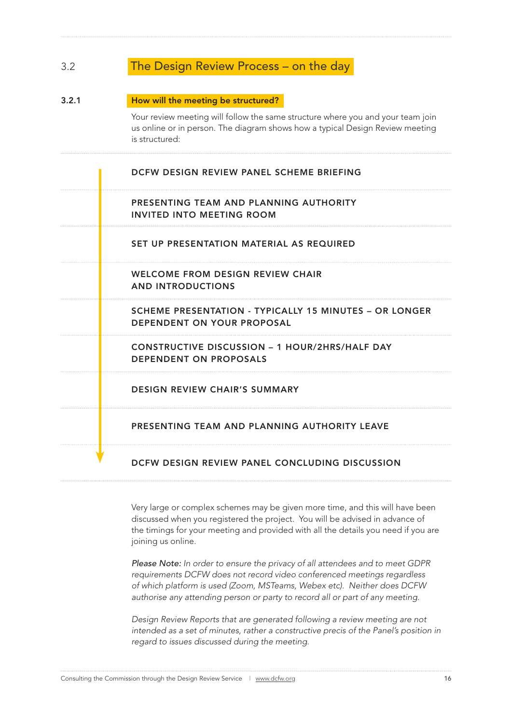### 3.2 The Design Review Process – on the day

#### 3.2.1 How will the meeting be structured?

Your review meeting will follow the same structure where you and your team join us online or in person. The diagram shows how a typical Design Review meeting is structured:

DCFW DESIGN REVIEW PANEL SCHEME BRIEFING

#### PRESENTING TEAM AND PLANNING AUTHORITY INVITED INTO MEETING ROOM

SET UP PRESENTATION MATERIAL AS REQUIRED

WELCOME FROM DESIGN REVIEW CHAIR AND INTRODUCTIONS

SCHEME PRESENTATION - TYPICALLY 15 MINUTES – OR LONGER DEPENDENT ON YOUR PROPOSAL

 CONSTRUCTIVE DISCUSSION – 1 HOUR/2HRS/HALF DAY DEPENDENT ON PROPOSALS

DESIGN REVIEW CHAIR'S SUMMARY

PRESENTING TEAM AND PLANNING AUTHORITY LEAVE

#### DCFW DESIGN REVIEW PANEL CONCLUDING DISCUSSION

Very large or complex schemes may be given more time, and this will have been discussed when you registered the project. You will be advised in advance of the timings for your meeting and provided with all the details you need if you are joining us online.

*Please Note: In order to ensure the privacy of all attendees and to meet GDPR requirements DCFW does not record video conferenced meetings regardless of which platform is used (Zoom, MSTeams, Webex etc). Neither does DCFW authorise any attending person or party to record all or part of any meeting.*

*Design Review Reports that are generated following a review meeting are not*  intended as a set of minutes, rather a constructive precis of the Panel's position in *regard to issues discussed during the meeting.*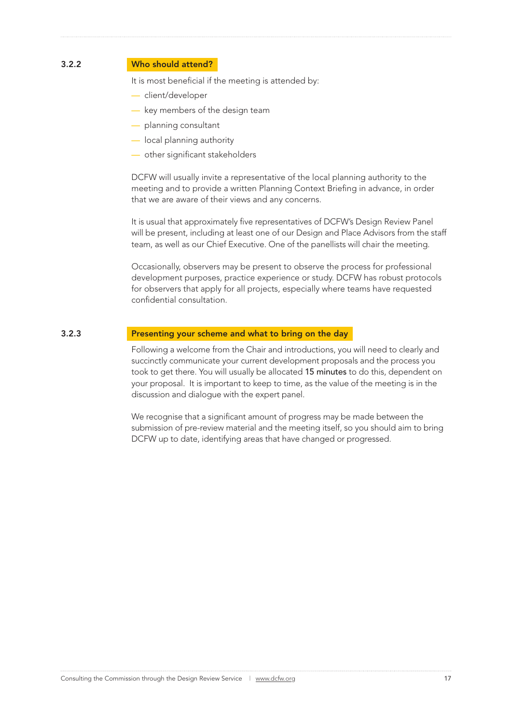#### 3.2.2 Who should attend?

It is most beneficial if the meeting is attended by:

- client/developer
- key members of the design team
- planning consultant
- local planning authority
- other significant stakeholders

DCFW will usually invite a representative of the local planning authority to the meeting and to provide a written Planning Context Briefing in advance, in order that we are aware of their views and any concerns.

It is usual that approximately five representatives of DCFW's Design Review Panel will be present, including at least one of our Design and Place Advisors from the staff team, as well as our Chief Executive. One of the panellists will chair the meeting.

Occasionally, observers may be present to observe the process for professional development purposes, practice experience or study. DCFW has robust protocols for observers that apply for all projects, especially where teams have requested confidential consultation.

#### 3.2.3 Presenting your scheme and what to bring on the day

Following a welcome from the Chair and introductions, you will need to clearly and succinctly communicate your current development proposals and the process you took to get there. You will usually be allocated 15 minutes to do this, dependent on your proposal. It is important to keep to time, as the value of the meeting is in the discussion and dialogue with the expert panel.

We recognise that a significant amount of progress may be made between the submission of pre-review material and the meeting itself, so you should aim to bring DCFW up to date, identifying areas that have changed or progressed.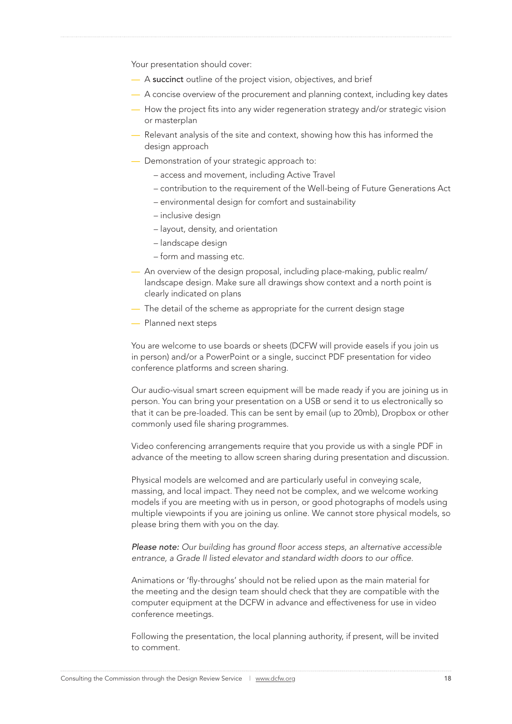Your presentation should cover:

- A succinct outline of the project vision, objectives, and brief
- A concise overview of the procurement and planning context, including key dates
- How the project fits into any wider regeneration strategy and/or strategic vision or masterplan
- Relevant analysis of the site and context, showing how this has informed the design approach
- Demonstration of your strategic approach to:
	- access and movement, including Active Travel
	- contribution to the requirement of the Well-being of Future Generations Act
	- environmental design for comfort and sustainability
	- inclusive design
	- layout, density, and orientation
	- landscape design
	- form and massing etc.
- An overview of the design proposal, including place-making, public realm/ landscape design. Make sure all drawings show context and a north point is clearly indicated on plans
- The detail of the scheme as appropriate for the current design stage
- Planned next steps

You are welcome to use boards or sheets (DCFW will provide easels if you join us in person) and/or a PowerPoint or a single, succinct PDF presentation for video conference platforms and screen sharing.

Our audio-visual smart screen equipment will be made ready if you are joining us in person. You can bring your presentation on a USB or send it to us electronically so that it can be pre-loaded. This can be sent by email (up to 20mb), Dropbox or other commonly used file sharing programmes.

Video conferencing arrangements require that you provide us with a single PDF in advance of the meeting to allow screen sharing during presentation and discussion.

Physical models are welcomed and are particularly useful in conveying scale, massing, and local impact. They need not be complex, and we welcome working models if you are meeting with us in person, or good photographs of models using multiple viewpoints if you are joining us online. We cannot store physical models, so please bring them with you on the day.

*Please note: Our building has ground floor access steps, an alternative accessible entrance, a Grade II listed elevator and standard width doors to our office.*

Animations or 'fly-throughs' should not be relied upon as the main material for the meeting and the design team should check that they are compatible with the computer equipment at the DCFW in advance and effectiveness for use in video conference meetings.

Following the presentation, the local planning authority, if present, will be invited to comment.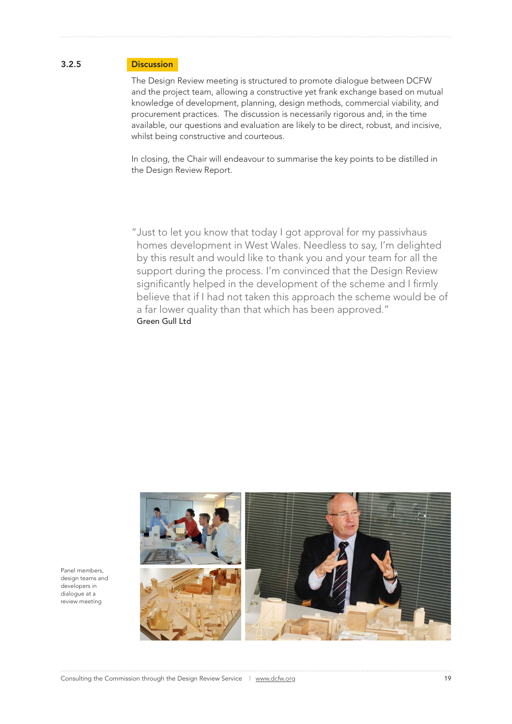#### 3.2.5 Discussion

The Design Review meeting is structured to promote dialogue between DCFW and the project team, allowing a constructive yet frank exchange based on mutual knowledge of development, planning, design methods, commercial viability, and procurement practices. The discussion is necessarily rigorous and, in the time available, our questions and evaluation are likely to be direct, robust, and incisive, whilst being constructive and courteous.

In closing, the Chair will endeavour to summarise the key points to be distilled in the Design Review Report.

"Just to let you know that today I got approval for my passivhaus homes development in West Wales. Needless to say, I'm delighted by this result and would like to thank you and your team for all the support during the process. I'm convinced that the Design Review significantly helped in the development of the scheme and I firmly believe that if I had not taken this approach the scheme would be of a far lower quality than that which has been approved." Green Gull Ltd



Panel members, design teams and developers in dialogue at a review meeting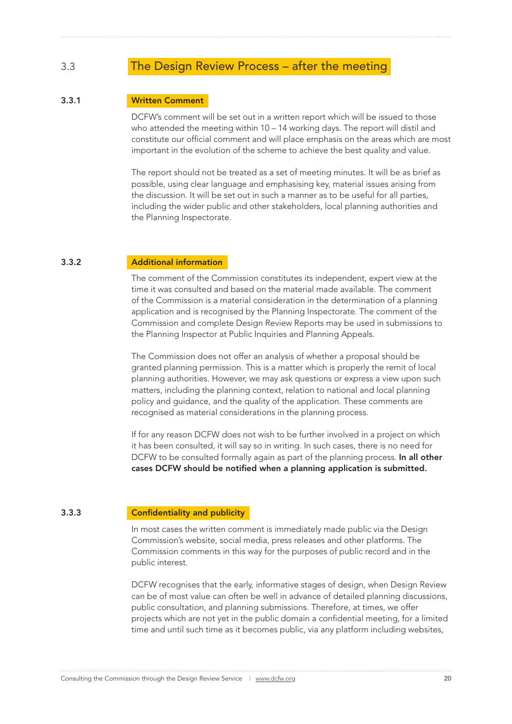### 3.3 The Design Review Process – after the meeting

#### 3.3.1 Written Comment

DCFW's comment will be set out in a written report which will be issued to those who attended the meeting within 10 – 14 working days. The report will distil and constitute our official comment and will place emphasis on the areas which are most important in the evolution of the scheme to achieve the best quality and value.

The report should not be treated as a set of meeting minutes. It will be as brief as possible, using clear language and emphasising key, material issues arising from the discussion. It will be set out in such a manner as to be useful for all parties, including the wider public and other stakeholders, local planning authorities and the Planning Inspectorate.

#### 3.3.2 Additional information

The comment of the Commission constitutes its independent, expert view at the time it was consulted and based on the material made available. The comment of the Commission is a material consideration in the determination of a planning application and is recognised by the Planning Inspectorate. The comment of the Commission and complete Design Review Reports may be used in submissions to the Planning Inspector at Public Inquiries and Planning Appeals.

The Commission does not offer an analysis of whether a proposal should be granted planning permission. This is a matter which is properly the remit of local planning authorities. However, we may ask questions or express a view upon such matters, including the planning context, relation to national and local planning policy and guidance, and the quality of the application. These comments are recognised as material considerations in the planning process.

If for any reason DCFW does not wish to be further involved in a project on which it has been consulted, it will say so in writing. In such cases, there is no need for DCFW to be consulted formally again as part of the planning process. In all other cases DCFW should be notified when a planning application is submitted.

#### 3.3.3 Confidentiality and publicity

In most cases the written comment is immediately made public via the Design Commission's website, social media, press releases and other platforms. The Commission comments in this way for the purposes of public record and in the public interest.

DCFW recognises that the early, informative stages of design, when Design Review can be of most value can often be well in advance of detailed planning discussions, public consultation, and planning submissions. Therefore, at times, we offer projects which are not yet in the public domain a confidential meeting, for a limited time and until such time as it becomes public, via any platform including websites,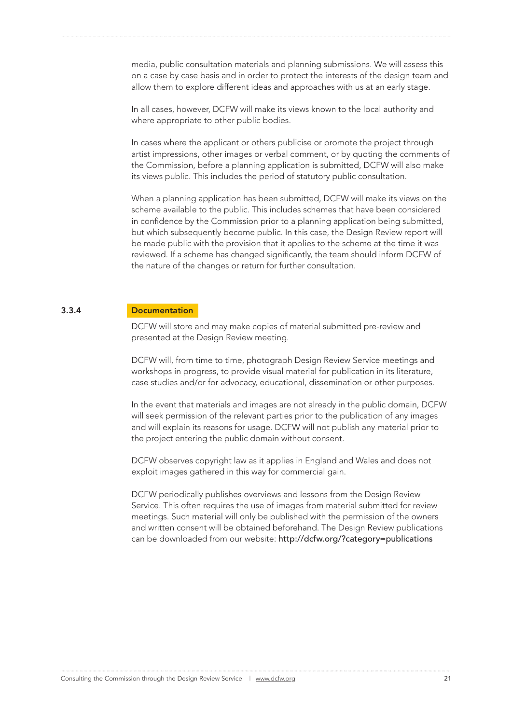media, public consultation materials and planning submissions. We will assess this on a case by case basis and in order to protect the interests of the design team and allow them to explore different ideas and approaches with us at an early stage.

In all cases, however, DCFW will make its views known to the local authority and where appropriate to other public bodies.

In cases where the applicant or others publicise or promote the project through artist impressions, other images or verbal comment, or by quoting the comments of the Commission, before a planning application is submitted, DCFW will also make its views public. This includes the period of statutory public consultation.

When a planning application has been submitted, DCFW will make its views on the scheme available to the public. This includes schemes that have been considered in confidence by the Commission prior to a planning application being submitted, but which subsequently become public. In this case, the Design Review report will be made public with the provision that it applies to the scheme at the time it was reviewed. If a scheme has changed significantly, the team should inform DCFW of the nature of the changes or return for further consultation.

#### 3.3.4 Documentation

DCFW will store and may make copies of material submitted pre-review and presented at the Design Review meeting.

DCFW will, from time to time, photograph Design Review Service meetings and workshops in progress, to provide visual material for publication in its literature, case studies and/or for advocacy, educational, dissemination or other purposes.

In the event that materials and images are not already in the public domain, DCFW will seek permission of the relevant parties prior to the publication of any images and will explain its reasons for usage. DCFW will not publish any material prior to the project entering the public domain without consent.

DCFW observes copyright law as it applies in England and Wales and does not exploit images gathered in this way for commercial gain.

DCFW periodically publishes overviews and lessons from the Design Review Service. This often requires the use of images from material submitted for review meetings. Such material will only be published with the permission of the owners and written consent will be obtained beforehand. The Design Review publications can be downloaded from our website: http://dcfw.org/?category=publications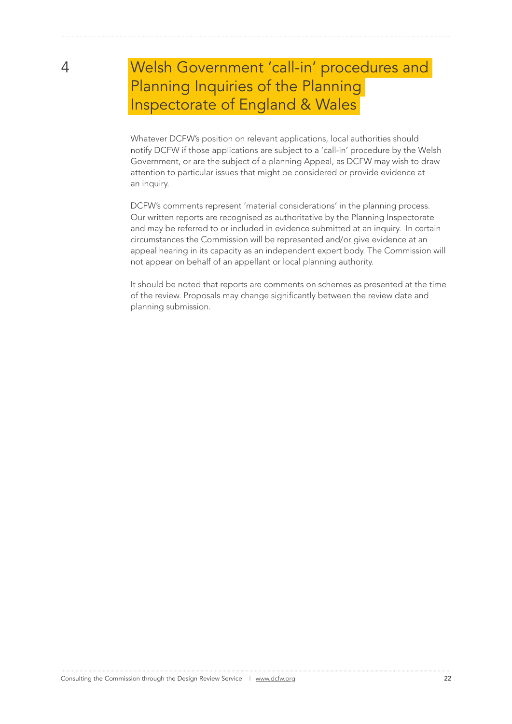# 4 Welsh Government 'call-in' procedures and Planning Inquiries of the Planning Inspectorate of England & Wales

 Whatever DCFW's position on relevant applications, local authorities should notify DCFW if those applications are subject to a 'call-in' procedure by the Welsh Government, or are the subject of a planning Appeal, as DCFW may wish to draw attention to particular issues that might be considered or provide evidence at an inquiry.

DCFW's comments represent 'material considerations' in the planning process. Our written reports are recognised as authoritative by the Planning Inspectorate and may be referred to or included in evidence submitted at an inquiry. In certain circumstances the Commission will be represented and/or give evidence at an appeal hearing in its capacity as an independent expert body. The Commission will not appear on behalf of an appellant or local planning authority.

It should be noted that reports are comments on schemes as presented at the time of the review. Proposals may change significantly between the review date and planning submission.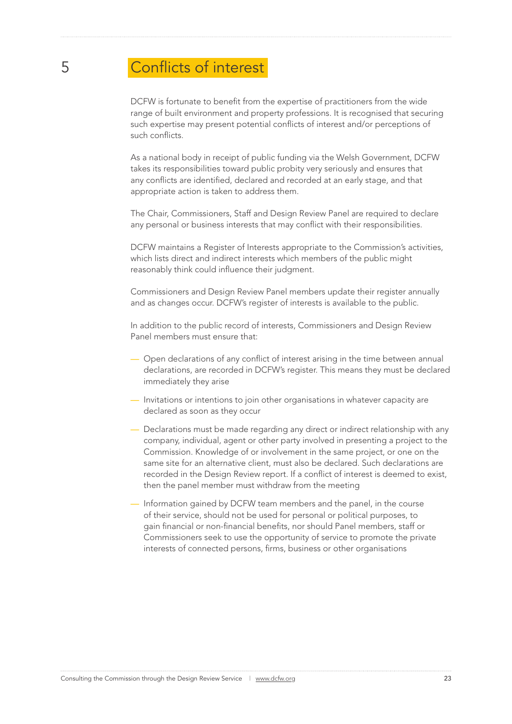# 5 Conflicts of interest

 DCFW is fortunate to benefit from the expertise of practitioners from the wide range of built environment and property professions. It is recognised that securing such expertise may present potential conflicts of interest and/or perceptions of such conflicts.

As a national body in receipt of public funding via the Welsh Government, DCFW takes its responsibilities toward public probity very seriously and ensures that any conflicts are identified, declared and recorded at an early stage, and that appropriate action is taken to address them.

The Chair, Commissioners, Staff and Design Review Panel are required to declare any personal or business interests that may conflict with their responsibilities.

DCFW maintains a Register of Interests appropriate to the Commission's activities, which lists direct and indirect interests which members of the public might reasonably think could influence their judgment.

Commissioners and Design Review Panel members update their register annually and as changes occur. DCFW's register of interests is available to the public.

In addition to the public record of interests, Commissioners and Design Review Panel members must ensure that:

- Open declarations of any conflict of interest arising in the time between annual declarations, are recorded in DCFW's register. This means they must be declared immediately they arise
- Invitations or intentions to join other organisations in whatever capacity are declared as soon as they occur
- Declarations must be made regarding any direct or indirect relationship with any company, individual, agent or other party involved in presenting a project to the Commission. Knowledge of or involvement in the same project, or one on the same site for an alternative client, must also be declared. Such declarations are recorded in the Design Review report. If a conflict of interest is deemed to exist, then the panel member must withdraw from the meeting
- Information gained by DCFW team members and the panel, in the course of their service, should not be used for personal or political purposes, to gain financial or non-financial benefits, nor should Panel members, staff or Commissioners seek to use the opportunity of service to promote the private interests of connected persons, firms, business or other organisations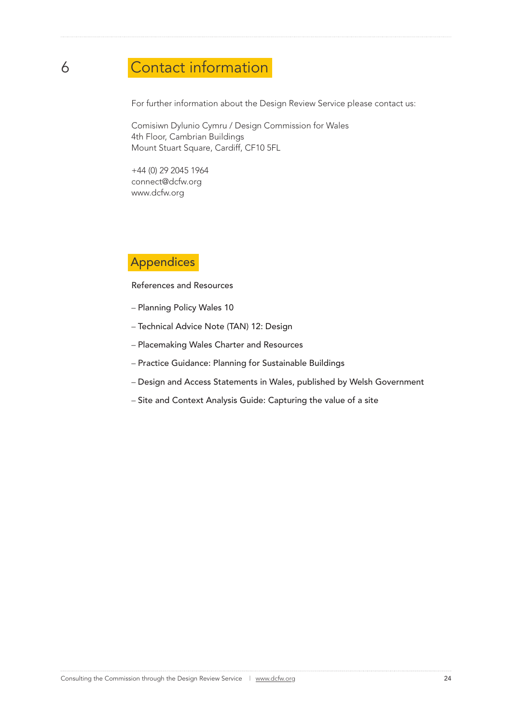# 6 Contact information

For further information about the Design Review Service please contact us:

Comisiwn Dylunio Cymru / Design Commission for Wales 4th Floor, Cambrian Buildings Mount Stuart Square, Cardiff, CF10 5FL

+44 (0) 29 2045 1964 connect@dcfw.org www.dcfw.org

### Appendices

References and Resources

- Planning Policy Wales 10
- Technical Advice Note (TAN) 12: Design
- Placemaking Wales Charter and Resources
- Practice Guidance: Planning for Sustainable Buildings
- Design and Access Statements in Wales, published by Welsh Government
- Site and Context Analysis Guide: Capturing the value of a site